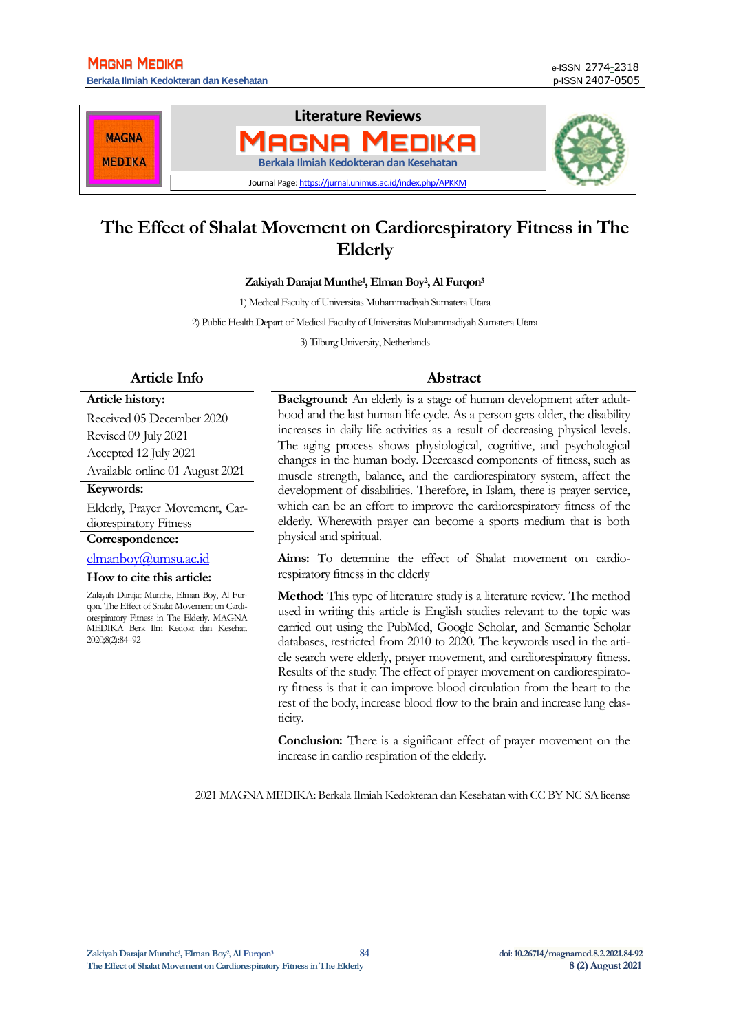**Berkala Ilmiah Kedokteran dan Kesehatan** p-ISSN 2407-0505



# **The Effect of Shalat Movement on Cardiorespiratory Fitness in The Elderly**

**Zakiyah Darajat Munthe<sup>1</sup> , Elman Boy<sup>2</sup> , Al Furqon<sup>3</sup>**

1) Medical Faculty of Universitas Muhammadiyah Sumatera Utara

2) Public Health Depart of Medical Faculty of Universitas Muhammadiyah Sumatera Utara

3) Tilburg University, Netherlands

#### **Article Info Abstract**

#### **Article history:**

Received 05 December 2020 Revised 09 July 2021 Accepted 12 July 2021 Available online 01 August 2021

#### **Keywords:**

Elderly, Prayer Movement, Cardiorespiratory Fitness

#### **Correspondence:**

## [elmanboy@umsu.ac.id](mailto:elmanboy@umsu.ac.id)

**How to cite this article:**

Zakiyah Darajat Munthe, Elman Boy, Al Furqon. The Effect of Shalat Movement on Cardiorespiratory Fitness in The Elderly. MAGNA MEDIKA Berk Ilm Kedokt dan Kesehat. 2020;8(2):84–92

**Background:** An elderly is a stage of human development after adulthood and the last human life cycle. As a person gets older, the disability increases in daily life activities as a result of decreasing physical levels. The aging process shows physiological, cognitive, and psychological changes in the human body. Decreased components of fitness, such as muscle strength, balance, and the cardiorespiratory system, affect the development of disabilities. Therefore, in Islam, there is prayer service, which can be an effort to improve the cardiorespiratory fitness of the elderly. Wherewith prayer can become a sports medium that is both physical and spiritual.

**Aims:** To determine the effect of Shalat movement on cardiorespiratory fitness in the elderly

**Method:** This type of literature study is a literature review. The method used in writing this article is English studies relevant to the topic was carried out using the PubMed, Google Scholar, and Semantic Scholar databases, restricted from 2010 to 2020. The keywords used in the article search were elderly, prayer movement, and cardiorespiratory fitness. Results of the study: The effect of prayer movement on cardiorespiratory fitness is that it can improve blood circulation from the heart to the rest of the body, increase blood flow to the brain and increase lung elasticity.

**Conclusion:** There is a significant effect of prayer movement on the increase in cardio respiration of the elderly.

2021 MAGNA MEDIKA: Berkala Ilmiah Kedokteran dan Kesehatan with CC BY NC SA license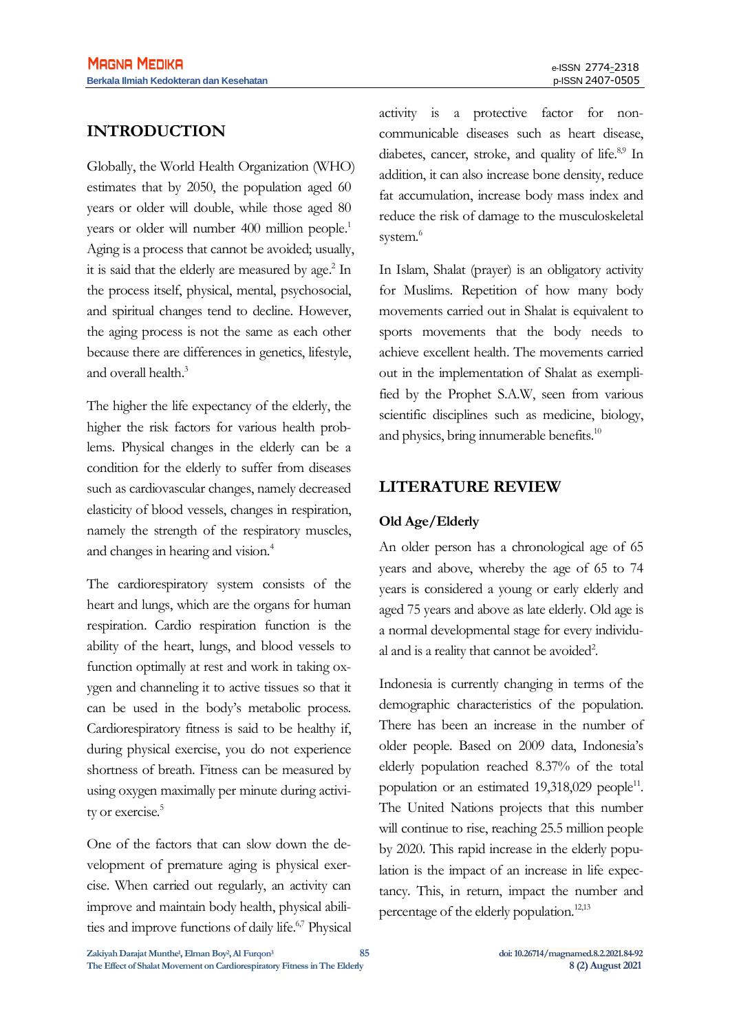## **INTRODUCTION**

Globally, the World Health Organization (WHO) estimates that by 2050, the population aged 60 years or older will double, while those aged 80 years or older will number 400 million people. 1 Aging is a process that cannot be avoided; usually, it is said that the elderly are measured by age.<sup>2</sup> In the process itself, physical, mental, psychosocial, and spiritual changes tend to decline. However, the aging process is not the same as each other because there are differences in genetics, lifestyle, and overall health.<sup>3</sup>

The higher the life expectancy of the elderly, the higher the risk factors for various health problems. Physical changes in the elderly can be a condition for the elderly to suffer from diseases such as cardiovascular changes, namely decreased elasticity of blood vessels, changes in respiration, namely the strength of the respiratory muscles, and changes in hearing and vision.<sup>4</sup>

The cardiorespiratory system consists of the heart and lungs, which are the organs for human respiration. Cardio respiration function is the ability of the heart, lungs, and blood vessels to function optimally at rest and work in taking oxygen and channeling it to active tissues so that it can be used in the body's metabolic process. Cardiorespiratory fitness is said to be healthy if, during physical exercise, you do not experience shortness of breath. Fitness can be measured by using oxygen maximally per minute during activity or exercise.<sup>5</sup>

One of the factors that can slow down the development of premature aging is physical exercise. When carried out regularly, an activity can improve and maintain body health, physical abilities and improve functions of daily life.<sup>6,7</sup> Physical activity is a protective factor for noncommunicable diseases such as heart disease, diabetes, cancer, stroke, and quality of life.<sup>8,9</sup> In addition, it can also increase bone density, reduce fat accumulation, increase body mass index and reduce the risk of damage to the musculoskeletal system.<sup>6</sup>

In Islam, Shalat (prayer) is an obligatory activity for Muslims. Repetition of how many body movements carried out in Shalat is equivalent to sports movements that the body needs to achieve excellent health. The movements carried out in the implementation of Shalat as exemplified by the Prophet S.A.W, seen from various scientific disciplines such as medicine, biology, and physics, bring innumerable benefits.<sup>10</sup>

## **LITERATURE REVIEW**

### **Old Age/Elderly**

An older person has a chronological age of 65 years and above, whereby the age of 65 to 74 years is considered a young or early elderly and aged 75 years and above as late elderly. Old age is a normal developmental stage for every individual and is a reality that cannot be avoided<sup>2</sup>.

Indonesia is currently changing in terms of the demographic characteristics of the population. There has been an increase in the number of older people. Based on 2009 data, Indonesia's elderly population reached 8.37% of the total population or an estimated 19,318,029 people<sup>11</sup>. The United Nations projects that this number will continue to rise, reaching 25.5 million people by 2020. This rapid increase in the elderly population is the impact of an increase in life expectancy. This, in return, impact the number and percentage of the elderly population.<sup>12,13</sup>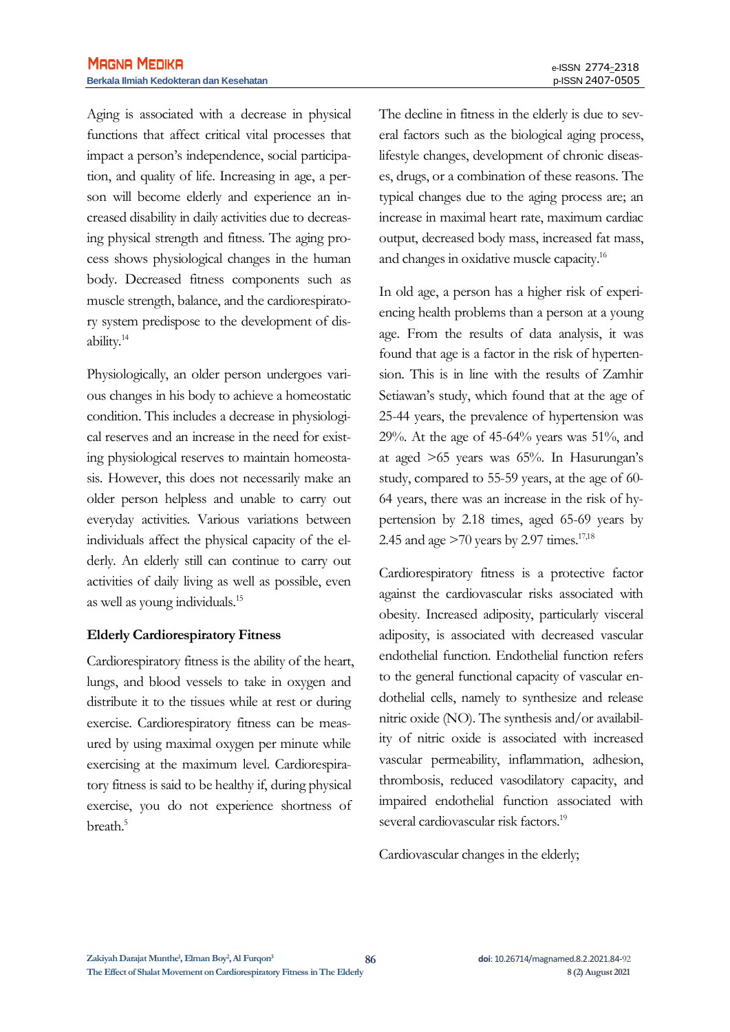Aging is associated with a decrease in physical functions that affect critical vital processes that impact a person's independence, social participation, and quality of life. Increasing in age, a person will become elderly and experience an increased disability in daily activities due to decreasing physical strength and fitness. The aging process shows physiological changes in the human body. Decreased fitness components such as muscle strength, balance, and the cardiorespiratory system predispose to the development of disability.<sup>14</sup>

Physiologically, an older person undergoes various changes in his body to achieve a homeostatic condition. This includes a decrease in physiological reserves and an increase in the need for existing physiological reserves to maintain homeostasis. However, this does not necessarily make an older person helpless and unable to carry out everyday activities. Various variations between individuals affect the physical capacity of the elderly. An elderly still can continue to carry out activities of daily living as well as possible, even as well as young individuals.<sup>15</sup>

#### **Elderly Cardiorespiratory Fitness**

Cardiorespiratory fitness is the ability of the heart, lungs, and blood vessels to take in oxygen and distribute it to the tissues while at rest or during exercise. Cardiorespiratory fitness can be measured by using maximal oxygen per minute while exercising at the maximum level. Cardiorespiratory fitness is said to be healthy if, during physical exercise, you do not experience shortness of breath.<sup>5</sup>

The decline in fitness in the elderly is due to several factors such as the biological aging process, lifestyle changes, development of chronic diseases, drugs, or a combination of these reasons. The typical changes due to the aging process are; an increase in maximal heart rate, maximum cardiac output, decreased body mass, increased fat mass, and changes in oxidative muscle capacity.<sup>16</sup>

In old age, a person has a higher risk of experiencing health problems than a person at a young age. From the results of data analysis, it was found that age is a factor in the risk of hypertension. This is in line with the results of Zamhir Setiawan's study, which found that at the age of 25-44 years, the prevalence of hypertension was 29%. At the age of 45-64% years was 51%, and at aged >65 years was 65%. In Hasurungan's study, compared to 55-59 years, at the age of 60- 64 years, there was an increase in the risk of hypertension by 2.18 times, aged 65-69 years by 2.45 and age  $>70$  years by 2.97 times.<sup>17,18</sup>

Cardiorespiratory fitness is a protective factor against the cardiovascular risks associated with obesity. Increased adiposity, particularly visceral adiposity, is associated with decreased vascular endothelial function. Endothelial function refers to the general functional capacity of vascular endothelial cells, namely to synthesize and release nitric oxide (NO). The synthesis and/or availability of nitric oxide is associated with increased vascular permeability, inflammation, adhesion, thrombosis, reduced vasodilatory capacity, and impaired endothelial function associated with several cardiovascular risk factors.<sup>19</sup>

Cardiovascular changes in the elderly;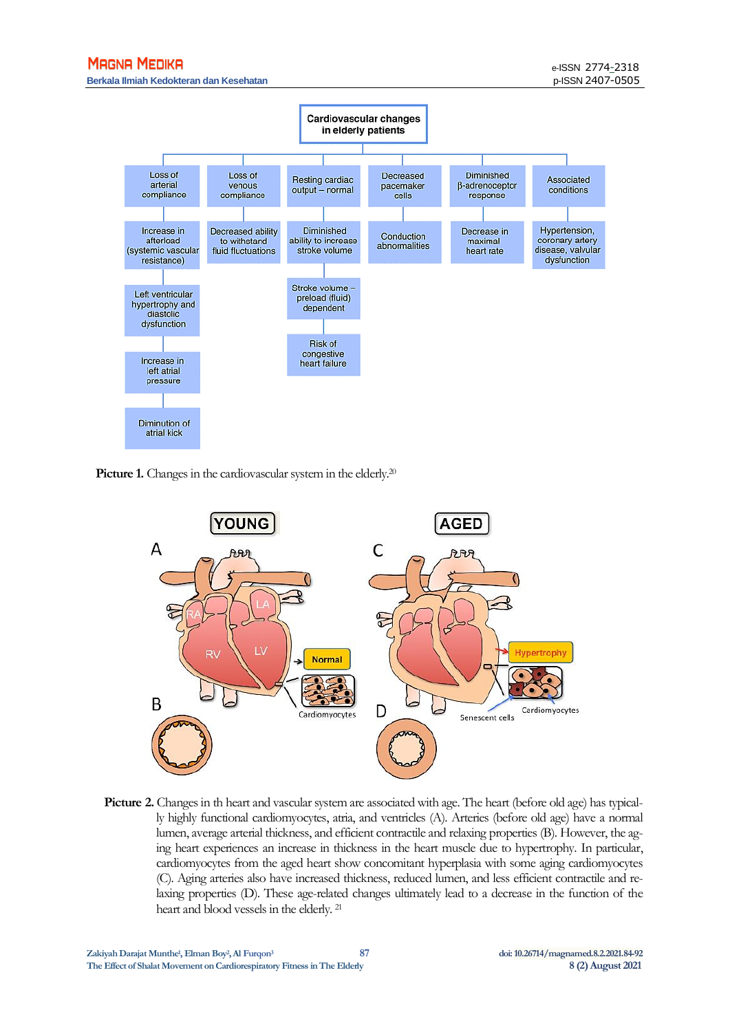#### **MAGNA MEDIKA**

**Berkala Ilmiah Kedokteran dan Kesehatan** p-ISSN 2407-0505



**Picture 1.** Changes in the cardiovascular system in the elderly.<sup>20</sup>



**Picture 2.** Changes in th heart and vascular system are associated with age. The heart (before old age) has typically highly functional cardiomyocytes, atria, and ventricles (A). Arteries (before old age) have a normal lumen, average arterial thickness, and efficient contractile and relaxing properties (B). However, the aging heart experiences an increase in thickness in the heart muscle due to hypertrophy. In particular, cardiomyocytes from the aged heart show concomitant hyperplasia with some aging cardiomyocytes (C). Aging arteries also have increased thickness, reduced lumen, and less efficient contractile and relaxing properties (D). These age-related changes ultimately lead to a decrease in the function of the heart and blood vessels in the elderly. 21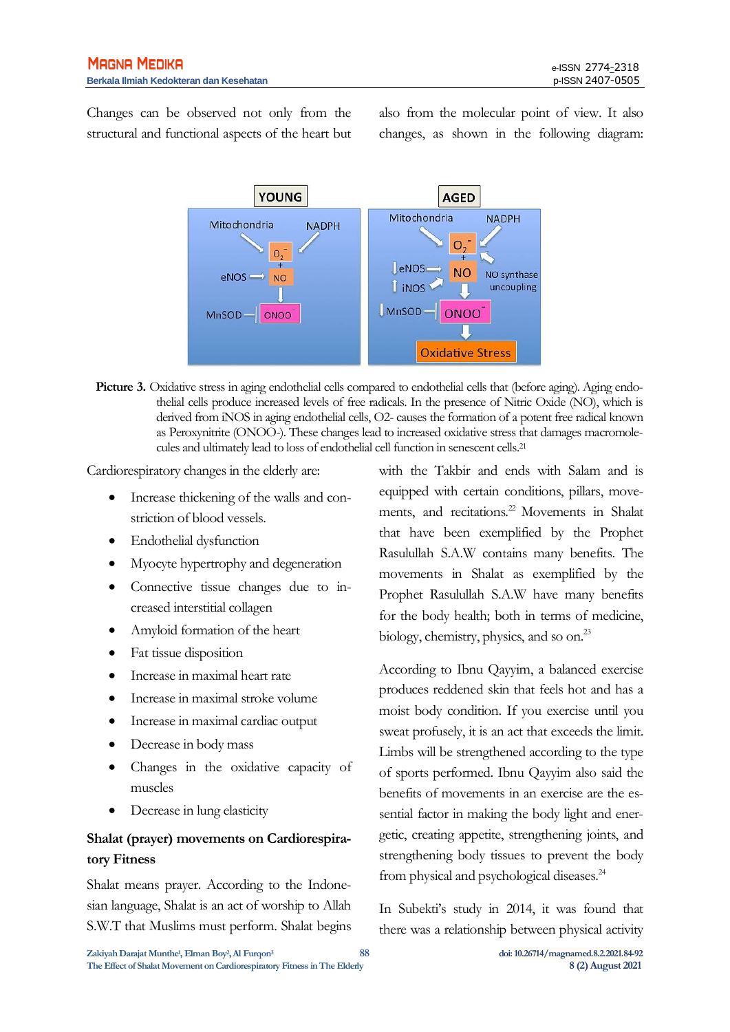Changes can be observed not only from the structural and functional aspects of the heart but also from the molecular point of view. It also changes, as shown in the following diagram:



**Picture 3.** Oxidative stress in aging endothelial cells compared to endothelial cells that (before aging). Aging endothelial cells produce increased levels of free radicals. In the presence of Nitric Oxide (NO), which is derived from iNOS in aging endothelial cells, O2- causes the formation of a potent free radical known as Peroxynitrite (ONOO-). These changes lead to increased oxidative stress that damages macromolecules and ultimately lead to loss of endothelial cell function in senescent cells.<sup>21</sup>

Cardiorespiratory changes in the elderly are:

- Increase thickening of the walls and constriction of blood vessels.
- Endothelial dysfunction
- Myocyte hypertrophy and degeneration
- Connective tissue changes due to increased interstitial collagen
- Amyloid formation of the heart
- Fat tissue disposition
- Increase in maximal heart rate
- Increase in maximal stroke volume
- Increase in maximal cardiac output
- Decrease in body mass
- Changes in the oxidative capacity of muscles
- Decrease in lung elasticity

## **Shalat (prayer) movements on Cardiorespiratory Fitness**

Shalat means prayer. According to the Indonesian language, Shalat is an act of worship to Allah S.W.T that Muslims must perform. Shalat begins with the Takbir and ends with Salam and is equipped with certain conditions, pillars, movements, and recitations.<sup>22</sup> Movements in Shalat that have been exemplified by the Prophet Rasulullah S.A.W contains many benefits. The movements in Shalat as exemplified by the Prophet Rasulullah S.A.W have many benefits for the body health; both in terms of medicine, biology, chemistry, physics, and so on.<sup>23</sup>

According to Ibnu Qayyim, a balanced exercise produces reddened skin that feels hot and has a moist body condition. If you exercise until you sweat profusely, it is an act that exceeds the limit. Limbs will be strengthened according to the type of sports performed. Ibnu Qayyim also said the benefits of movements in an exercise are the essential factor in making the body light and energetic, creating appetite, strengthening joints, and strengthening body tissues to prevent the body from physical and psychological diseases.<sup>24</sup>

In Subekti's study in 2014, it was found that there was a relationship between physical activity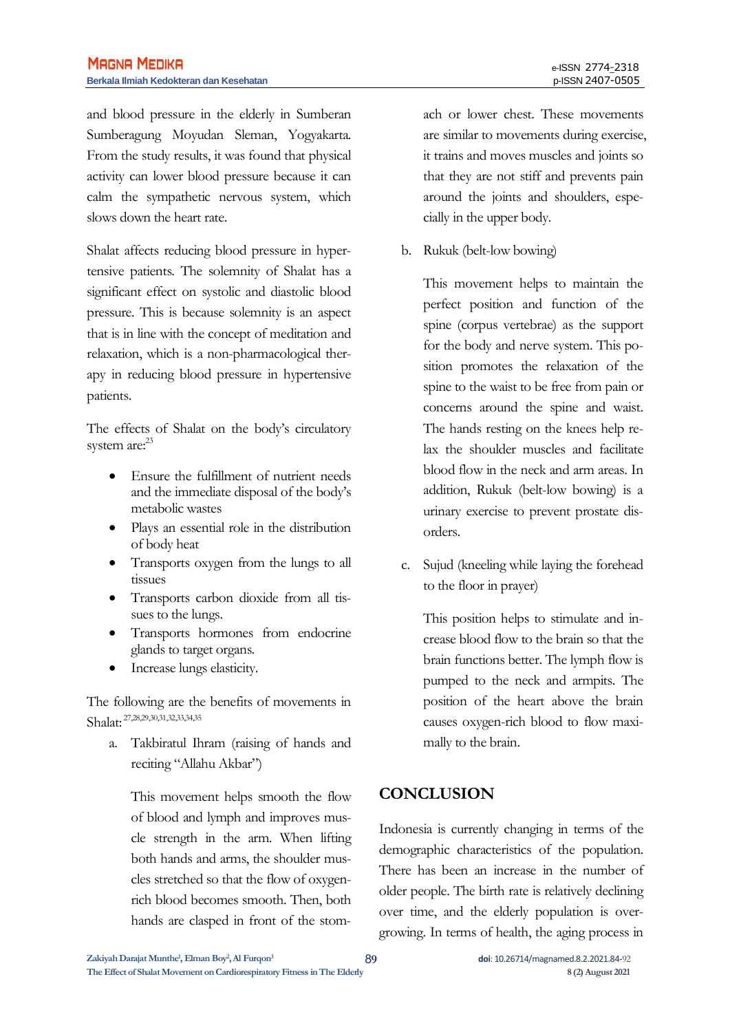and blood pressure in the elderly in Sumberan Sumberagung Moyudan Sleman, Yogyakarta. From the study results, it was found that physical activity can lower blood pressure because it can calm the sympathetic nervous system, which slows down the heart rate.

Shalat affects reducing blood pressure in hypertensive patients. The solemnity of Shalat has a significant effect on systolic and diastolic blood pressure. This is because solemnity is an aspect that is in line with the concept of meditation and relaxation, which is a non-pharmacological therapy in reducing blood pressure in hypertensive patients.

The effects of Shalat on the body's circulatory system are:<sup>23</sup>

- Ensure the fulfillment of nutrient needs and the immediate disposal of the body's metabolic wastes
- Plays an essential role in the distribution of body heat
- Transports oxygen from the lungs to all tissues
- Transports carbon dioxide from all tissues to the lungs.
- Transports hormones from endocrine glands to target organs.
- Increase lungs elasticity.

The following are the benefits of movements in Shalat: 27,28,29,30,31,32,33,34,35

a. Takbiratul Ihram (raising of hands and reciting "Allahu Akbar")

This movement helps smooth the flow of blood and lymph and improves muscle strength in the arm. When lifting both hands and arms, the shoulder muscles stretched so that the flow of oxygenrich blood becomes smooth. Then, both hands are clasped in front of the stomach or lower chest. These movements are similar to movements during exercise, it trains and moves muscles and joints so that they are not stiff and prevents pain around the joints and shoulders, especially in the upper body.

b. Rukuk (belt-low bowing)

This movement helps to maintain the perfect position and function of the spine (corpus vertebrae) as the support for the body and nerve system. This position promotes the relaxation of the spine to the waist to be free from pain or concerns around the spine and waist. The hands resting on the knees help relax the shoulder muscles and facilitate blood flow in the neck and arm areas. In addition, Rukuk (belt-low bowing) is a urinary exercise to prevent prostate disorders.

c. Sujud (kneeling while laying the forehead to the floor in prayer)

This position helps to stimulate and increase blood flow to the brain so that the brain functions better. The lymph flow is pumped to the neck and armpits. The position of the heart above the brain causes oxygen-rich blood to flow maximally to the brain.

## **CONCLUSION**

Indonesia is currently changing in terms of the demographic characteristics of the population. There has been an increase in the number of older people. The birth rate is relatively declining over time, and the elderly population is overgrowing. In terms of health, the aging process in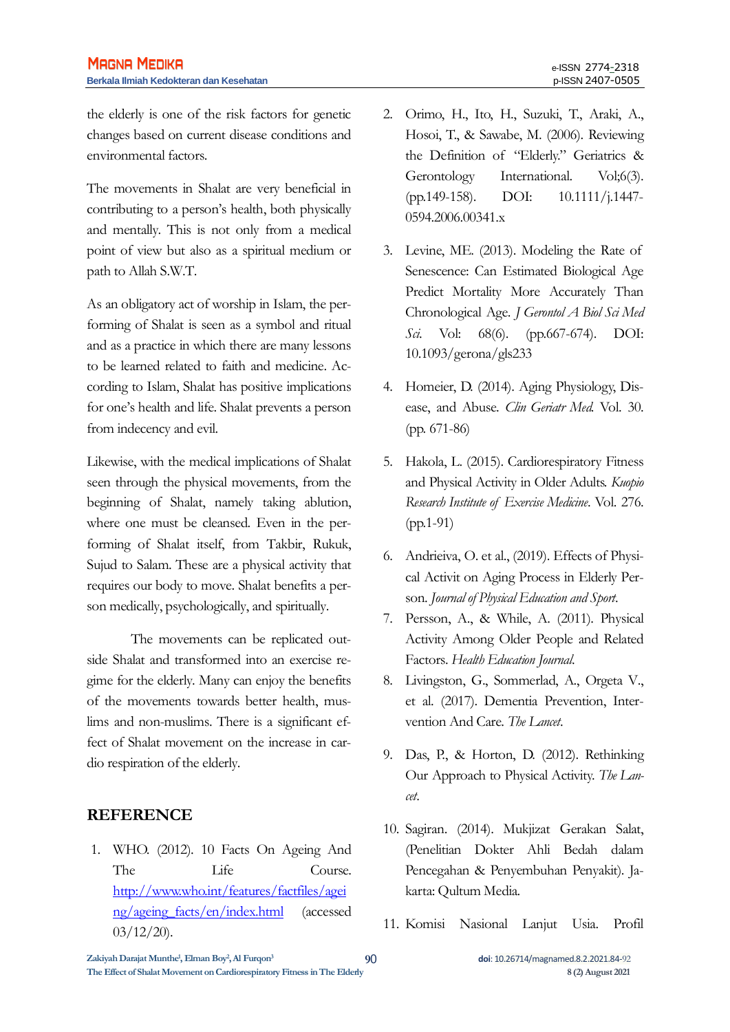the elderly is one of the risk factors for genetic changes based on current disease conditions and environmental factors.

The movements in Shalat are very beneficial in contributing to a person's health, both physically and mentally. This is not only from a medical point of view but also as a spiritual medium or path to Allah S.W.T.

As an obligatory act of worship in Islam, the performing of Shalat is seen as a symbol and ritual and as a practice in which there are many lessons to be learned related to faith and medicine. According to Islam, Shalat has positive implications for one's health and life. Shalat prevents a person from indecency and evil.

Likewise, with the medical implications of Shalat seen through the physical movements, from the beginning of Shalat, namely taking ablution, where one must be cleansed. Even in the performing of Shalat itself, from Takbir, Rukuk, Sujud to Salam. These are a physical activity that requires our body to move. Shalat benefits a person medically, psychologically, and spiritually.

The movements can be replicated outside Shalat and transformed into an exercise regime for the elderly. Many can enjoy the benefits of the movements towards better health, muslims and non-muslims. There is a significant effect of Shalat movement on the increase in cardio respiration of the elderly.

## **REFERENCE**

1. WHO. (2012). 10 Facts On Ageing And The Life Course. [http://www.who.int/features/factfiles/agei](http://www.who.int/features/factfiles/ageing/ageing_facts/en/index.html) [ng/ageing\\_facts/en/index.html](http://www.who.int/features/factfiles/ageing/ageing_facts/en/index.html) (accessed 03/12/20).

- 2. Orimo, H., Ito, H., Suzuki, T., Araki, A., Hosoi, T., & Sawabe, M. (2006). Reviewing the Definition of "Elderly." Geriatrics & Gerontology International. Vol;6(3). (pp.149-158). DOI: 10.1111/j.1447- 0594.2006.00341.x
- 3. Levine, ME. (2013). Modeling the Rate of Senescence: Can Estimated Biological Age Predict Mortality More Accurately Than Chronological Age. *J Gerontol A Biol Sci Med Sci*. Vol: 68(6). (pp.667-674). DOI: 10.1093/gerona/gls233
- 4. Homeier, D. (2014). Aging Physiology, Disease, and Abuse. *Clin Geriatr Med*. Vol. 30. (pp. 671-86)
- 5. Hakola, L. (2015). Cardiorespiratory Fitness and Physical Activity in Older Adults. *Kuopio Research Institute of Exercise Medicine*. Vol. 276. (pp.1-91)
- 6. Andrieiva, O. et al., (2019). Effects of Physical Activit on Aging Process in Elderly Person. *Journal of Physical Education and Sport*.
- 7. Persson, A., & While, A. (2011). Physical Activity Among Older People and Related Factors. *Health Education Journal*.
- 8. Livingston, G., Sommerlad, A., Orgeta V., et al. (2017). Dementia Prevention, Intervention And Care. *The Lancet*.
- 9. Das, P., & Horton, D. (2012). Rethinking Our Approach to Physical Activity. *The Lancet*.
- 10. Sagiran. (2014). Mukjizat Gerakan Salat, (Penelitian Dokter Ahli Bedah dalam Pencegahan & Penyembuhan Penyakit). Jakarta: Qultum Media.
- 11. Komisi Nasional Lanjut Usia. Profil

**Zakiyah Darajat Munthe<sup>1</sup> , Elman Boy<sup>2</sup> , Al Furqon<sup>3</sup>**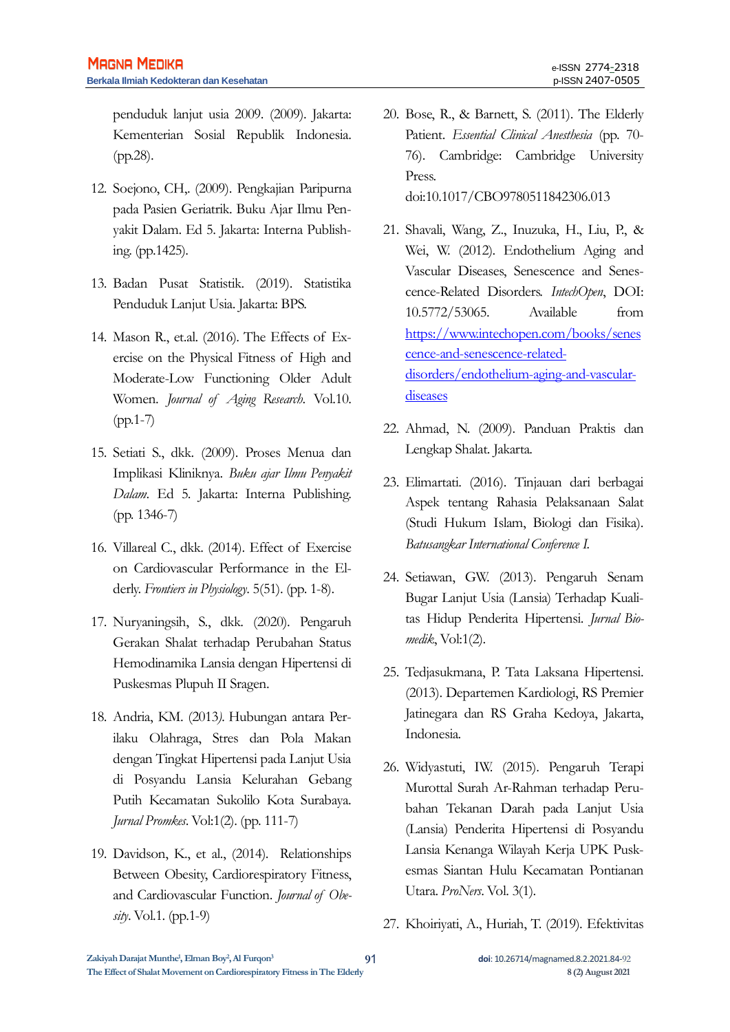penduduk lanjut usia 2009. (2009). Jakarta: Kementerian Sosial Republik Indonesia. (pp.28).

- 12. Soejono, CH,. (2009). Pengkajian Paripurna pada Pasien Geriatrik. Buku Ajar Ilmu Penyakit Dalam. Ed 5. Jakarta: Interna Publishing. (pp.1425).
- 13. Badan Pusat Statistik. (2019). Statistika Penduduk Lanjut Usia. Jakarta: BPS.
- 14. Mason R., et.al. (2016). The Effects of Exercise on the Physical Fitness of High and Moderate-Low Functioning Older Adult Women. *Journal of Aging Research*. Vol.10. (pp.1-7)
- 15. Setiati S., dkk. (2009). Proses Menua dan Implikasi Kliniknya. *Buku ajar Ilmu Penyakit Dalam*. Ed 5. Jakarta: Interna Publishing. (pp. 1346-7)
- 16. Villareal C., dkk. (2014). Effect of Exercise on Cardiovascular Performance in the Elderly. *Frontiers in Physiology*. 5(51). (pp. 1-8).
- 17. Nuryaningsih, S., dkk. (2020). Pengaruh Gerakan Shalat terhadap Perubahan Status Hemodinamika Lansia dengan Hipertensi di Puskesmas Plupuh II Sragen.
- 18. Andria, KM. (2013*).* Hubungan antara Perilaku Olahraga, Stres dan Pola Makan dengan Tingkat Hipertensi pada Lanjut Usia di Posyandu Lansia Kelurahan Gebang Putih Kecamatan Sukolilo Kota Surabaya. *Jurnal Promkes*. Vol:1(2). (pp. 111-7)
- 19. Davidson, K., et al., (2014). Relationships Between Obesity, Cardiorespiratory Fitness, and Cardiovascular Function. *Journal of Obesity*. Vol.1. (pp.1-9)
- 20. Bose, R., & Barnett, S. (2011). The Elderly Patient. *Essential Clinical Anesthesia* (pp. 70- 76). Cambridge: Cambridge University Press. doi:10.1017/CBO9780511842306.013
- 21. Shavali, Wang, Z., Inuzuka, H., Liu, P., & Wei, W. (2012). Endothelium Aging and Vascular Diseases, Senescence and Senescence-Related Disorders. *IntechOpen*, DOI: 10.5772/53065. Available from [https://www.intechopen.com/books/senes](https://www.intechopen.com/books/senescence-and-senescence-related-disorders/endothelium-aging-and-vascular-diseases) [cence-and-senescence-related](https://www.intechopen.com/books/senescence-and-senescence-related-disorders/endothelium-aging-and-vascular-diseases)[disorders/endothelium-aging-and-vascular](https://www.intechopen.com/books/senescence-and-senescence-related-disorders/endothelium-aging-and-vascular-diseases)[diseases](https://www.intechopen.com/books/senescence-and-senescence-related-disorders/endothelium-aging-and-vascular-diseases)
- 22. Ahmad, N. (2009). Panduan Praktis dan Lengkap Shalat. Jakarta.
- 23. Elimartati. (2016). Tinjauan dari berbagai Aspek tentang Rahasia Pelaksanaan Salat (Studi Hukum Islam, Biologi dan Fisika). *Batusangkar International Conference I.*
- 24. Setiawan, GW. (2013). Pengaruh Senam Bugar Lanjut Usia (Lansia) Terhadap Kualitas Hidup Penderita Hipertensi. *Jurnal Biomedik*, Vol:1(2).
- 25. Tedjasukmana, P. Tata Laksana Hipertensi. (2013). Departemen Kardiologi, RS Premier Jatinegara dan RS Graha Kedoya, Jakarta, Indonesia.
- 26. Widyastuti, IW. (2015). Pengaruh Terapi Murottal Surah Ar-Rahman terhadap Perubahan Tekanan Darah pada Lanjut Usia (Lansia) Penderita Hipertensi di Posyandu Lansia Kenanga Wilayah Kerja UPK Puskesmas Siantan Hulu Kecamatan Pontianan Utara. *ProNers*. Vol. 3(1).
- 27. Khoiriyati, A., Huriah, T. (2019). Efektivitas